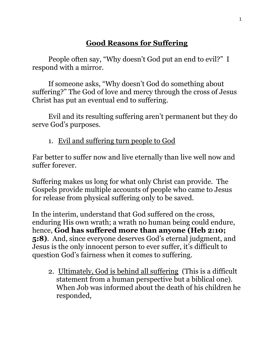# **Good Reasons for Suffering**

People often say, "Why doesn't God put an end to evil?" I respond with a mirror.

If someone asks, "Why doesn't God do something about suffering?" The God of love and mercy through the cross of Jesus Christ has put an eventual end to suffering.

Evil and its resulting suffering aren't permanent but they do serve God's purposes.

#### 1. Evil and suffering turn people to God

Far better to suffer now and live eternally than live well now and suffer forever.

Suffering makes us long for what only Christ can provide. The Gospels provide multiple accounts of people who came to Jesus for release from physical suffering only to be saved.

In the interim, understand that God suffered on the cross, enduring His own wrath; a wrath no human being could endure, hence, **God has suffered more than anyone (Heb 2:10; 5:8)**. And, since everyone deserves God's eternal judgment, and Jesus is the only innocent person to ever suffer, it's difficult to question God's fairness when it comes to suffering.

2. Ultimately, God is behind all suffering (This is a difficult statement from a human perspective but a biblical one). When Job was informed about the death of his children he responded,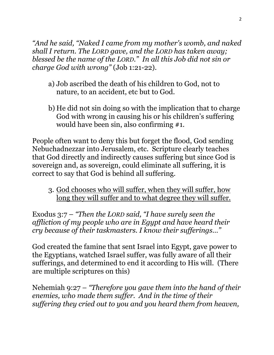*"And he said, "Naked I came from my mother's womb, and naked shall I return. The LORD gave, and the LORD has taken away; blessed be the name of the LORD." In all this Job did not sin or charge God with wrong"* (Job 1:21-22).

- a) Job ascribed the death of his children to God, not to nature, to an accident, etc but to God.
- b) He did not sin doing so with the implication that to charge God with wrong in causing his or his children's suffering would have been sin, also confirming #1.

People often want to deny this but forget the flood, God sending Nebuchadnezzar into Jerusalem, etc. Scripture clearly teaches that God directly and indirectly causes suffering but since God is sovereign and, as sovereign, could eliminate all suffering, it is correct to say that God is behind all suffering.

3. God chooses who will suffer, when they will suffer, how long they will suffer and to what degree they will suffer.

Exodus 3:7 – *"Then the LORD said, "I have surely seen the affliction of my people who are in Egypt and have heard their cry because of their taskmasters. I know their sufferings…"*

God created the famine that sent Israel into Egypt, gave power to the Egyptians, watched Israel suffer, was fully aware of all their sufferings, and determined to end it according to His will. (There are multiple scriptures on this)

Nehemiah 9:27 – *"Therefore you gave them into the hand of their enemies, who made them suffer. And in the time of their suffering they cried out to you and you heard them from heaven,*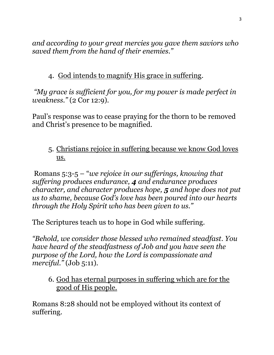*and according to your great mercies you gave them saviors who saved them from the hand of their enemies."* 

### 4. God intends to magnify His grace in suffering.

*"My grace is sufficient for you, for my power is made perfect in weakness."* (2 Cor 12:9).

Paul's response was to cease praying for the thorn to be removed and Christ's presence to be magnified.

#### 5. Christians rejoice in suffering because we know God loves us.

Romans 5:3-5 – "*we rejoice in our sufferings, knowing that suffering produces endurance, 4 and endurance produces character, and character produces hope, 5 and hope does not put us to shame, because God's love has been poured into our hearts through the Holy Spirit who has been given to us."*

The Scriptures teach us to hope in God while suffering.

*"Behold, we consider those blessed who remained steadfast. You have heard of the steadfastness of Job and you have seen the purpose of the Lord, how the Lord is compassionate and merciful."* (Job 5:11).

#### 6. God has eternal purposes in suffering which are for the good of His people.

Romans 8:28 should not be employed without its context of suffering.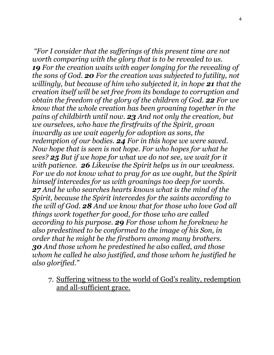*"For I consider that the sufferings of this present time are not worth comparing with the glory that is to be revealed to us. 19 For the creation waits with eager longing for the revealing of the sons of God. 20 For the creation was subjected to futility, not willingly, but because of him who subjected it, in hope 21 that the creation itself will be set free from its bondage to corruption and obtain the freedom of the glory of the children of God. 22 For we know that the whole creation has been groaning together in the pains of childbirth until now. 23 And not only the creation, but we ourselves, who have the firstfruits of the Spirit, groan inwardly as we wait eagerly for adoption as sons, the redemption of our bodies. 24 For in this hope we were saved. Now hope that is seen is not hope. For who hopes for what he sees? 25 But if we hope for what we do not see, we wait for it with patience. 26 Likewise the Spirit helps us in our weakness. For we do not know what to pray for as we ought, but the Spirit himself intercedes for us with groanings too deep for words. 27 And he who searches hearts knows what is the mind of the Spirit, because the Spirit intercedes for the saints according to the will of God. 28 And we know that for those who love God all things work together for good, for those who are called according to his purpose. 29 For those whom he foreknew he also predestined to be conformed to the image of his Son, in order that he might be the firstborn among many brothers. 30 And those whom he predestined he also called, and those whom he called he also justified, and those whom he justified he also glorified."*

7. Suffering witness to the world of God's reality, redemption and all-sufficient grace.